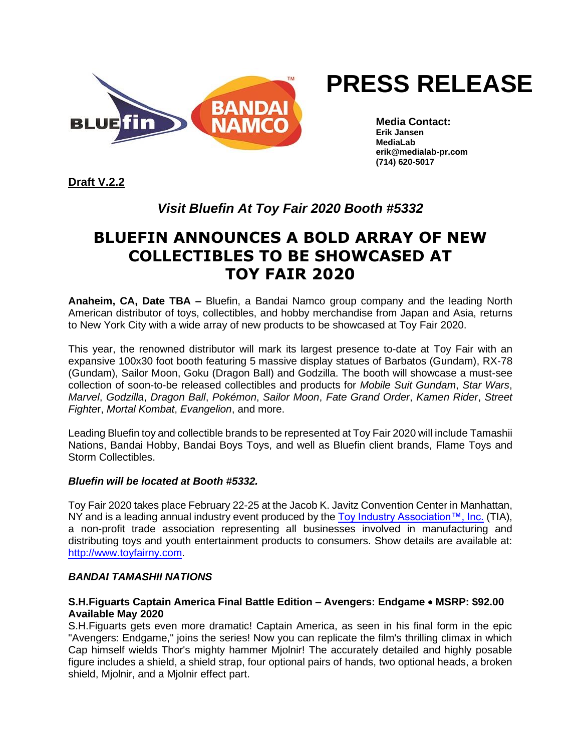

# **PRESS RELEASE**

**Media Contact: Erik Jansen MediaLab erik@medialab-pr.com (714) 620-5017**

**Draft V.2.2**

### *Visit Bluefin At Toy Fair 2020 Booth #5332*

## **BLUEFIN ANNOUNCES A BOLD ARRAY OF NEW COLLECTIBLES TO BE SHOWCASED AT TOY FAIR 2020**

**Anaheim, CA, Date TBA –** Bluefin, a Bandai Namco group company and the leading North American distributor of toys, collectibles, and hobby merchandise from Japan and Asia, returns to New York City with a wide array of new products to be showcased at Toy Fair 2020.

This year, the renowned distributor will mark its largest presence to-date at Toy Fair with an expansive 100x30 foot booth featuring 5 massive display statues of Barbatos (Gundam), RX-78 (Gundam), Sailor Moon, Goku (Dragon Ball) and Godzilla. The booth will showcase a must-see collection of soon-to-be released collectibles and products for *Mobile Suit Gundam*, *Star Wars*, *Marvel*, *Godzilla*, *Dragon Ball*, *Pokémon*, *Sailor Moon*, *Fate Grand Order*, *Kamen Rider*, *Street Fighte*r, *Mortal Kombat*, *Evangelion*, and more.

Leading Bluefin toy and collectible brands to be represented at Toy Fair 2020 will include Tamashii Nations, Bandai Hobby, Bandai Boys Toys, and well as Bluefin client brands, Flame Toys and Storm Collectibles.

#### *Bluefin will be located at Booth #5332.*

Toy Fair 2020 takes place February 22-25 at the Jacob K. Javitz Convention Center in Manhattan, NY and is a leading annual industry event produced by the [Toy Industry Association™, Inc.](http://www.toyassociation.org/) (TIA), a non-profit trade association representing all businesses involved in manufacturing and distributing toys and youth entertainment products to consumers. Show details are available at: [http://www.toyfairny.com.](http://www.toyfairny.com/)

#### *BANDAI TAMASHII NATIONS*

#### **S.H.Figuarts Captain America Final Battle Edition – Avengers: Endgame** • **MSRP: \$92.00 Available May 2020**

S.H.Figuarts gets even more dramatic! Captain America, as seen in his final form in the epic "Avengers: Endgame," joins the series! Now you can replicate the film's thrilling climax in which Cap himself wields Thor's mighty hammer Mjolnir! The accurately detailed and highly posable figure includes a shield, a shield strap, four optional pairs of hands, two optional heads, a broken shield, Mjolnir, and a Mjolnir effect part.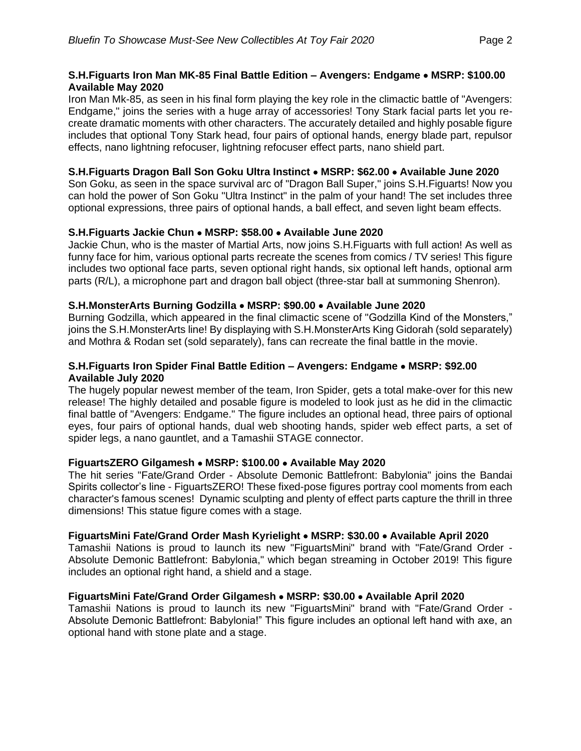#### **S.H.Figuarts Iron Man MK-85 Final Battle Edition – Avengers: Endgame** • **MSRP: \$100.00 Available May 2020**

Iron Man Mk-85, as seen in his final form playing the key role in the climactic battle of "Avengers: Endgame," joins the series with a huge array of accessories! Tony Stark facial parts let you recreate dramatic moments with other characters. The accurately detailed and highly posable figure includes that optional Tony Stark head, four pairs of optional hands, energy blade part, repulsor effects, nano lightning refocuser, lightning refocuser effect parts, nano shield part.

#### **S.H.Figuarts Dragon Ball Son Goku Ultra Instinct** • **MSRP: \$62.00** • **Available June 2020**

Son Goku, as seen in the space survival arc of "Dragon Ball Super," joins S.H.Figuarts! Now you can hold the power of Son Goku "Ultra Instinct" in the palm of your hand! The set includes three optional expressions, three pairs of optional hands, a ball effect, and seven light beam effects.

#### **S.H.Figuarts Jackie Chun** • **MSRP: \$58.00** • **Available June 2020**

Jackie Chun, who is the master of Martial Arts, now joins S.H.Figuarts with full action! As well as funny face for him, various optional parts recreate the scenes from comics / TV series! This figure includes two optional face parts, seven optional right hands, six optional left hands, optional arm parts (R/L), a microphone part and dragon ball object (three-star ball at summoning Shenron).

#### **S.H.MonsterArts Burning Godzilla** • **MSRP: \$90.00** • **Available June 2020**

Burning Godzilla, which appeared in the final climactic scene of "Godzilla Kind of the Monsters," joins the S.H.MonsterArts line! By displaying with S.H.MonsterArts King Gidorah (sold separately) and Mothra & Rodan set (sold separately), fans can recreate the final battle in the movie.

#### **S.H.Figuarts Iron Spider Final Battle Edition – Avengers: Endgame** • **MSRP: \$92.00 Available July 2020**

The hugely popular newest member of the team, Iron Spider, gets a total make-over for this new release! The highly detailed and posable figure is modeled to look just as he did in the climactic final battle of "Avengers: Endgame." The figure includes an optional head, three pairs of optional eyes, four pairs of optional hands, dual web shooting hands, spider web effect parts, a set of spider legs, a nano gauntlet, and a Tamashii STAGE connector.

#### **FiguartsZERO Gilgamesh** • **MSRP: \$100.00** • **Available May 2020**

The hit series "Fate/Grand Order - Absolute Demonic Battlefront: Babylonia" joins the Bandai Spirits collector's line - FiguartsZERO! These fixed-pose figures portray cool moments from each character's famous scenes! Dynamic sculpting and plenty of effect parts capture the thrill in three dimensions! This statue figure comes with a stage.

#### **FiguartsMini Fate/Grand Order Mash Kyrielight** • **MSRP: \$30.00** • **Available April 2020**

Tamashii Nations is proud to launch its new "FiguartsMini" brand with "Fate/Grand Order - Absolute Demonic Battlefront: Babylonia," which began streaming in October 2019! This figure includes an optional right hand, a shield and a stage.

#### **FiguartsMini Fate/Grand Order Gilgamesh** • **MSRP: \$30.00** • **Available April 2020**

Tamashii Nations is proud to launch its new "FiguartsMini" brand with "Fate/Grand Order - Absolute Demonic Battlefront: Babylonia!" This figure includes an optional left hand with axe, an optional hand with stone plate and a stage.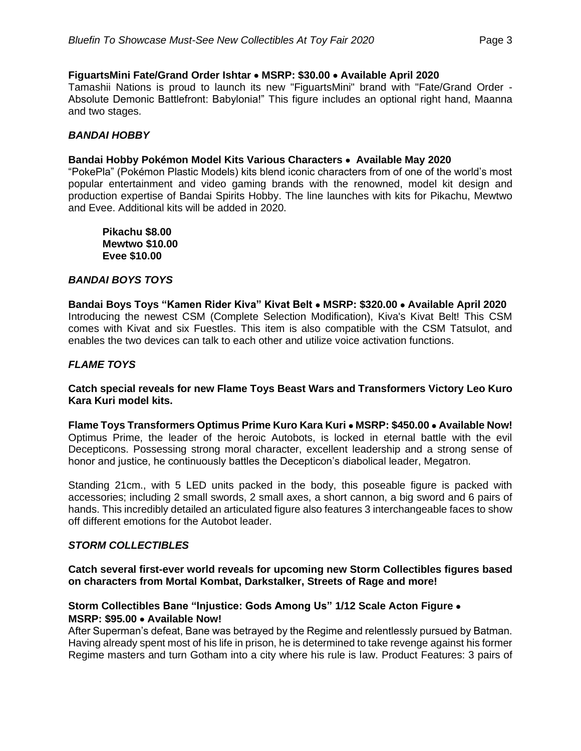#### **FiguartsMini Fate/Grand Order Ishtar** • **MSRP: \$30.00** • **Available April 2020**

Tamashii Nations is proud to launch its new "FiguartsMini" brand with "Fate/Grand Order - Absolute Demonic Battlefront: Babylonia!" This figure includes an optional right hand, Maanna and two stages.

#### *BANDAI HOBBY*

#### **Bandai Hobby Pokémon Model Kits Various Characters** • **Available May 2020**

"PokePla" (Pokémon Plastic Models) kits blend iconic characters from of one of the world's most popular entertainment and video gaming brands with the renowned, model kit design and production expertise of Bandai Spirits Hobby. The line launches with kits for Pikachu, Mewtwo and Evee. Additional kits will be added in 2020.

**Pikachu \$8.00 Mewtwo \$10.00 Evee \$10.00**

#### *BANDAI BOYS TOYS*

**Bandai Boys Toys "Kamen Rider Kiva" Kivat Belt** • **MSRP: \$320.00** • **Available April 2020** Introducing the newest CSM (Complete Selection Modification), Kiva's Kivat Belt! This CSM comes with Kivat and six Fuestles. This item is also compatible with the CSM Tatsulot, and enables the two devices can talk to each other and utilize voice activation functions.

#### *FLAME TOYS*

#### **Catch special reveals for new Flame Toys Beast Wars and Transformers Victory Leo Kuro Kara Kuri model kits.**

**Flame Toys Transformers Optimus Prime Kuro Kara Kuri** • **MSRP: \$450.00** • **Available Now!** Optimus Prime, the leader of the heroic Autobots, is locked in eternal battle with the evil Decepticons. Possessing strong moral character, excellent leadership and a strong sense of honor and justice, he continuously battles the Decepticon's diabolical leader, Megatron.

Standing 21cm., with 5 LED units packed in the body, this poseable figure is packed with accessories; including 2 small swords, 2 small axes, a short cannon, a big sword and 6 pairs of hands. This incredibly detailed an articulated figure also features 3 interchangeable faces to show off different emotions for the Autobot leader.

#### *STORM COLLECTIBLES*

#### **Catch several first-ever world reveals for upcoming new Storm Collectibles figures based on characters from Mortal Kombat, Darkstalker, Streets of Rage and more!**

#### **Storm Collectibles Bane "Injustice: Gods Among Us" 1/12 Scale Acton Figure** • **MSRP: \$95.00** • **Available Now!**

After Superman's defeat, Bane was betrayed by the Regime and relentlessly pursued by Batman. Having already spent most of his life in prison, he is determined to take revenge against his former Regime masters and turn Gotham into a city where his rule is law. Product Features: 3 pairs of